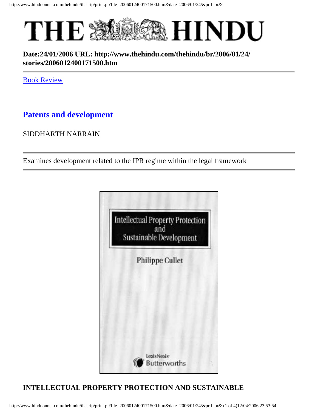

### **Date:24/01/2006 URL: http://www.thehindu.com/thehindu/br/2006/01/24/ stories/2006012400171500.htm**

[Book Review](http://www.thehindu.com/thehindu/br/2006/01/24/index.htm)

# **Patents and development**

#### SIDDHARTH NARRAIN

Examines development related to the IPR regime within the legal framework



## **INTELLECTUAL PROPERTY PROTECTION AND SUSTAINABLE**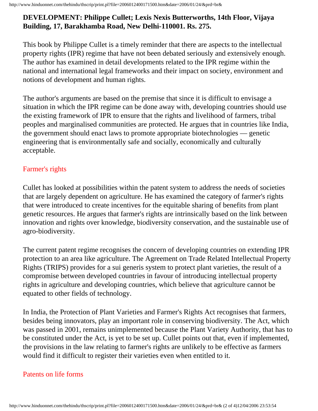#### **DEVELOPMENT: Philippe Cullet; Lexis Nexis Butterworths, 14th Floor, Vijaya Building, 17, Barakhamba Road, New Delhi-110001. Rs. 275.**

This book by Philippe Cullet is a timely reminder that there are aspects to the intellectual property rights (IPR) regime that have not been debated seriously and extensively enough. The author has examined in detail developments related to the IPR regime within the national and international legal frameworks and their impact on society, environment and notions of development and human rights.

The author's arguments are based on the premise that since it is difficult to envisage a situation in which the IPR regime can be done away with, developing countries should use the existing framework of IPR to ensure that the rights and livelihood of farmers, tribal peoples and marginalised communities are protected. He argues that in countries like India, the government should enact laws to promote appropriate biotechnologies — genetic engineering that is environmentally safe and socially, economically and culturally acceptable.

#### Farmer's rights

Cullet has looked at possibilities within the patent system to address the needs of societies that are largely dependent on agriculture. He has examined the category of farmer's rights that were introduced to create incentives for the equitable sharing of benefits from plant genetic resources. He argues that farmer's rights are intrinsically based on the link between innovation and rights over knowledge, biodiversity conservation, and the sustainable use of agro-biodiversity.

The current patent regime recognises the concern of developing countries on extending IPR protection to an area like agriculture. The Agreement on Trade Related Intellectual Property Rights (TRIPS) provides for a sui generis system to protect plant varieties, the result of a compromise between developed countries in favour of introducing intellectual property rights in agriculture and developing countries, which believe that agriculture cannot be equated to other fields of technology.

In India, the Protection of Plant Varieties and Farmer's Rights Act recognises that farmers, besides being innovators, play an important role in conserving biodiversity. The Act, which was passed in 2001, remains unimplemented because the Plant Variety Authority, that has to be constituted under the Act, is yet to be set up. Cullet points out that, even if implemented, the provisions in the law relating to farmer's rights are unlikely to be effective as farmers would find it difficult to register their varieties even when entitled to it.

#### Patents on life forms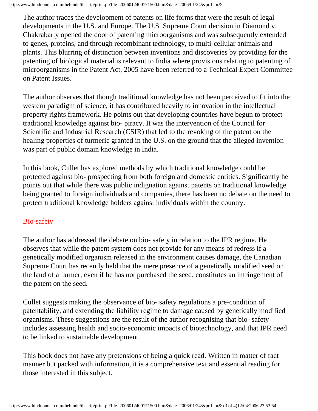http://www.hinduonnet.com/thehindu/thscrip/print.pl?file=2006012400171500.htm&date=2006/01/24/&prd=br&

The author traces the development of patents on life forms that were the result of legal developments in the U.S. and Europe. The U.S. Supreme Court decision in Diamond v. Chakrabarty opened the door of patenting microorganisms and was subsequently extended to genes, proteins, and through recombinant technology, to multi-cellular animals and plants. This blurring of distinction between inventions and discoveries by providing for the patenting of biological material is relevant to India where provisions relating to patenting of microorganisms in the Patent Act, 2005 have been referred to a Technical Expert Committee on Patent Issues.

The author observes that though traditional knowledge has not been perceived to fit into the western paradigm of science, it has contributed heavily to innovation in the intellectual property rights framework. He points out that developing countries have begun to protect traditional knowledge against bio- piracy. It was the intervention of the Council for Scientific and Industrial Research (CSIR) that led to the revoking of the patent on the healing properties of turmeric granted in the U.S. on the ground that the alleged invention was part of public domain knowledge in India.

In this book, Cullet has explored methods by which traditional knowledge could be protected against bio- prospecting from both foreign and domestic entities. Significantly he points out that while there was public indignation against patents on traditional knowledge being granted to foreign individuals and companies, there has been no debate on the need to protect traditional knowledge holders against individuals within the country.

#### Bio-safety

The author has addressed the debate on bio- safety in relation to the IPR regime. He observes that while the patent system does not provide for any means of redress if a genetically modified organism released in the environment causes damage, the Canadian Supreme Court has recently held that the mere presence of a genetically modified seed on the land of a farmer, even if he has not purchased the seed, constitutes an infringement of the patent on the seed.

Cullet suggests making the observance of bio- safety regulations a pre-condition of patentability, and extending the liability regime to damage caused by genetically modified organisms. These suggestions are the result of the author recognising that bio- safety includes assessing health and socio-economic impacts of biotechnology, and that IPR need to be linked to sustainable development.

This book does not have any pretensions of being a quick read. Written in matter of fact manner but packed with information, it is a comprehensive text and essential reading for those interested in this subject.